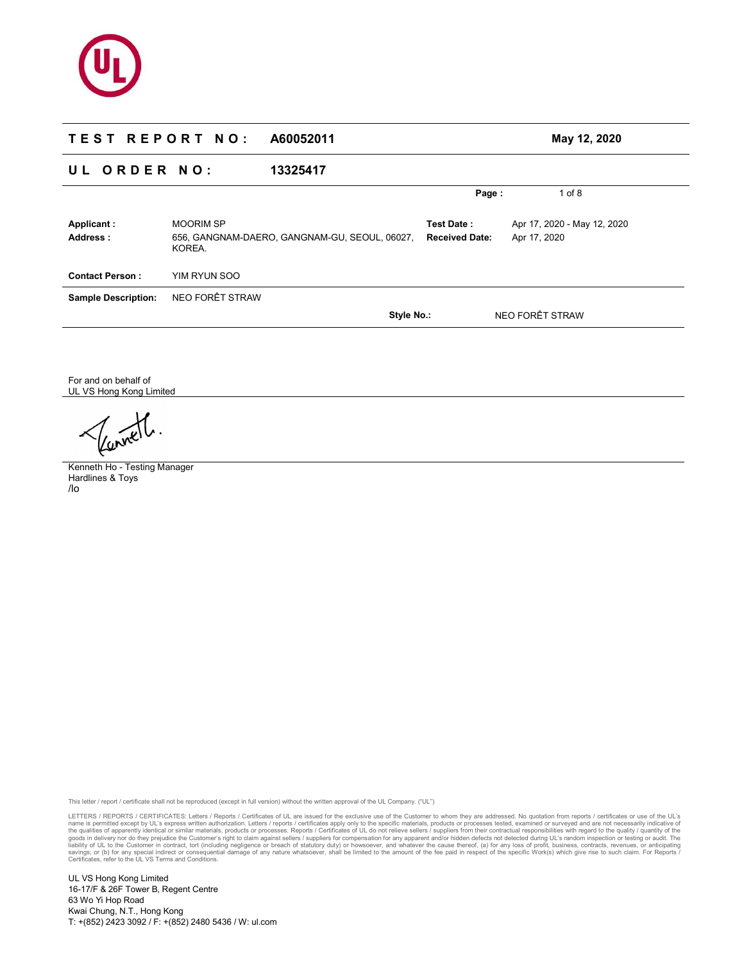

# **T E S T R E P O R T N O : A60052011 May 12, 2020 U L O R D E R N O : 13325417 Page :** 1 of 8 **Applicant :** MOORIM SP **Test Date :** Apr 17, 2020 - May 12, 2020 **Address :** 656, GANGNAM-DAERO, GANGNAM-GU, SEOUL, 06027, KOREA. **Received Date:** Apr 17, 2020 **Contact Person :** YIM RYUN SOO **Sample Description:** NEO FORÊT STRAW **Style No.:** NEO FORÊT STRAW

For and on behalf of UL VS Hong Kong Limited

Kenneth Ho - Testing Manager Hardlines & Toys /lo

This letter / report / certificate shall not be reproduced (except in full version) without the written approval of the UL Company. ("UL")

LETTERS / REPORTS / CERTIFICATES: Letters / Reports / Certificates of UL are issued for the exclusive use of the Customer to whom they are addressed. No quotator from reports / entificates or use of the UL's express writte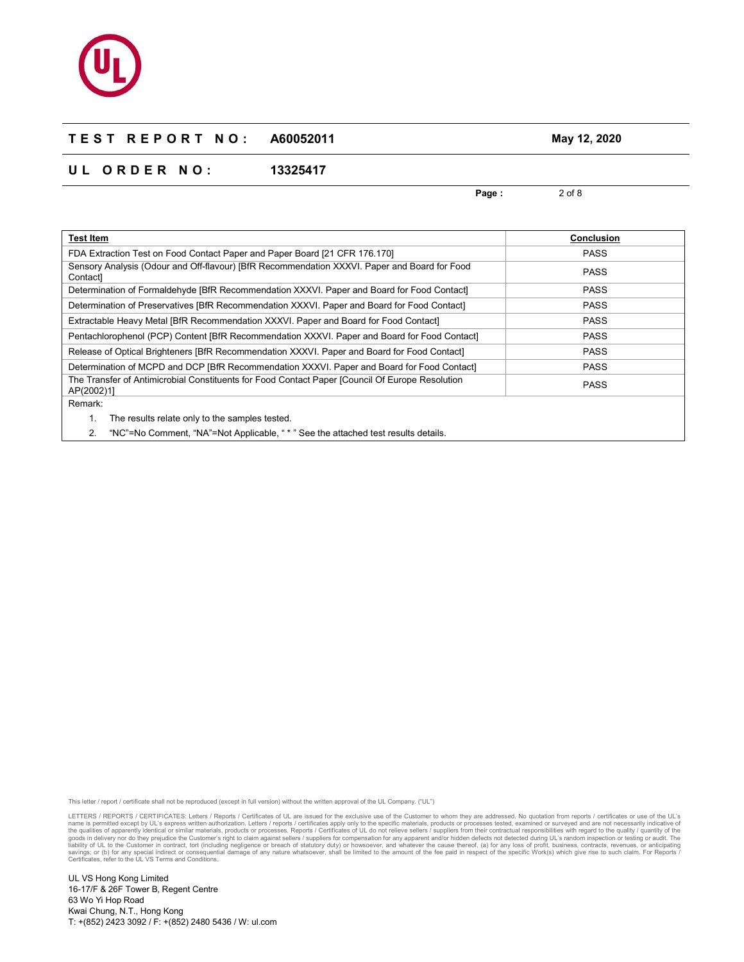# **U L O R D E R N O : 13325417**

**Page :** 2 of 8 **Test Item Conclusion**  FDA Extraction Test on Food Contact Paper and Paper Board [21 CFR 176.170] **PASS** Sensory Analysis (Odour and Off-flavour) [BfR Recommendation XXXVI. Paper and Board for Food Contact] PASS Determination of Formaldehyde [BfR Recommendation XXXVI. Paper and Board for Food Contact] PASS Determination of Preservatives [BfR Recommendation XXXVI. Paper and Board for Food Contact] PASS Extractable Heavy Metal [BfR Recommendation XXXVI. Paper and Board for Food Contact] **PASS** PASS Pentachlorophenol (PCP) Content [BfR Recommendation XXXVI. Paper and Board for Food Contact] PASS Release of Optical Brighteners [BfR Recommendation XXXVI. Paper and Board for Food Contact] PASS Determination of MCPD and DCP [BfR Recommendation XXXVI. Paper and Board for Food Contact] PASS The Transfer of Antimicrobial Constituents for Food Contact Paper [Council Of Europe Resolution AP(2002)1] PASS Remark: 1. The results relate only to the samples tested.

2. "NC"=No Comment, "NA"=Not Applicable, " \* " See the attached test results details.

This letter / report / certificate shall not be reproduced (except in full version) without the written approval of the UL Company. ("UL")

LETTERS / REPORTS / CERTIFICATES: Letters / Reports / Certificates of UL are issued for the exclusive use of the Customer to whom they are addressed. No quotation from reports / certificates or use of the UL's name is permitted except by UL's express written authorization. Letters / reports / certificates apply only to the specific materials, products or processes tested, examined or surveyed and are not necessarily indicative o liability of UL to the Customer in contract, tort (including negligence or breach of statutory duty) or howsoever, and whatever the cause thereof, (a) for any loss of profit, business, contracts, revenues, or anticipating<br>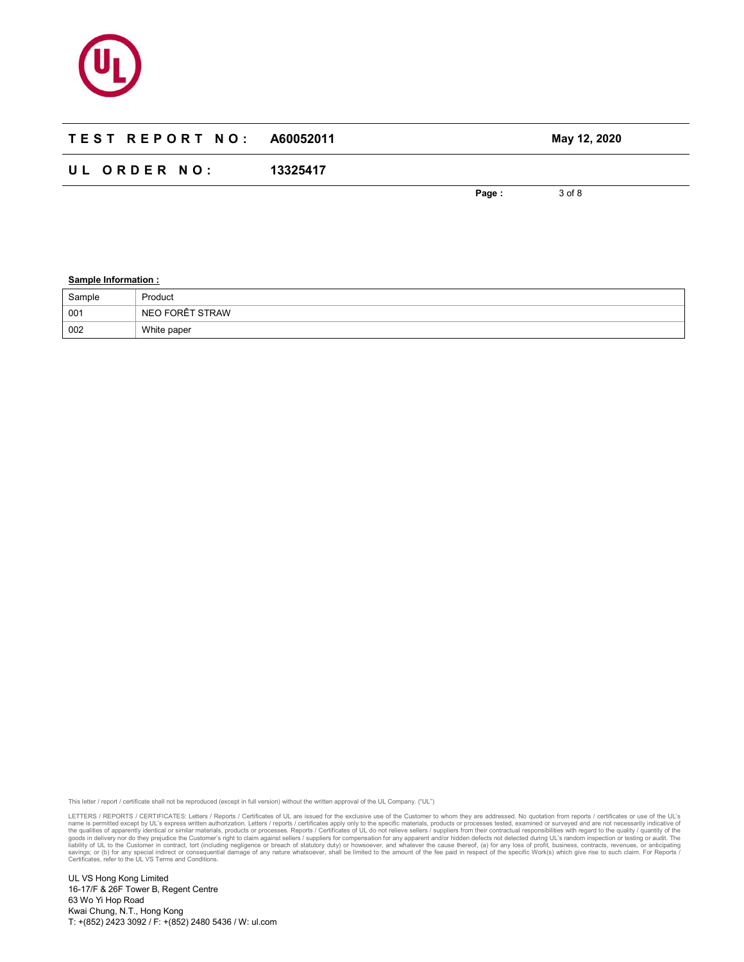

# **T E S T R E P O R T N O : A60052011 May 12, 2020 U L O R D E R N O : 13325417**

**Page :** 3 of 8

### **Sample Information :**

| Sample | Product         |
|--------|-----------------|
| 001    | NEO FORÊT STRAW |
| 002    | White paper     |

This letter / report / certificate shall not be reproduced (except in full version) without the written approval of the UL Company. ("UL")

LETTERS / REPORTS / CERTIFICATES: Letters / Reports / Certificates of UL are issued for the exclusive use of the Customer to whom they are addressed. No quotation from reports / certificates or use of the UL's name is permitted except by UL's express written authorization. Letters / reports / certificates apply only to the specific materials, products or processes tested, examined or surveyed and are not necessarily indicative o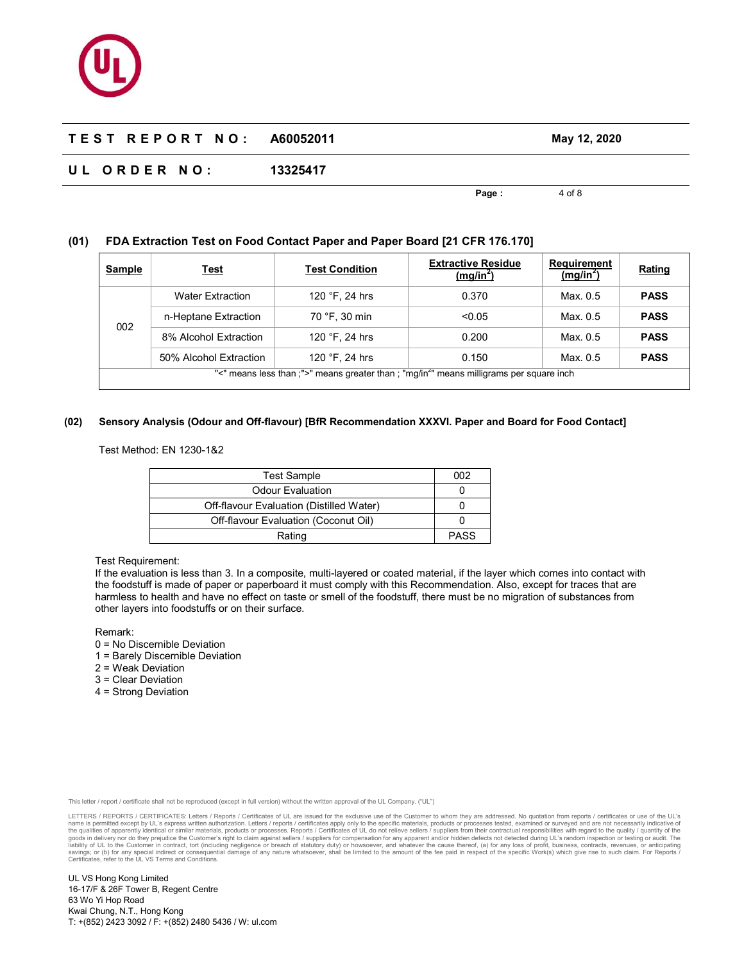# **U L O R D E R N O : 13325417**

**Page :** 4 of 8

# **(01) FDA Extraction Test on Food Contact Paper and Paper Board [21 CFR 176.170]**

| Sample                                                                                               | <u>Test</u>             | <b>Test Condition</b>   | <b>Extractive Residue</b><br>(mg/in <sup>2</sup> ) | <b>Requirement</b><br>(mg/in <sup>2</sup> ) | <b>Rating</b> |  |
|------------------------------------------------------------------------------------------------------|-------------------------|-------------------------|----------------------------------------------------|---------------------------------------------|---------------|--|
| 002                                                                                                  | <b>Water Extraction</b> | 120 $\degree$ F. 24 hrs | 0.370                                              | Max. 0.5                                    | <b>PASS</b>   |  |
|                                                                                                      | n-Heptane Extraction    | 70 °F, 30 min           | < 0.05                                             | Max. 0.5                                    | <b>PASS</b>   |  |
|                                                                                                      | 8% Alcohol Extraction   | 120 $\degree$ F, 24 hrs | 0.200                                              | Max. 0.5                                    | <b>PASS</b>   |  |
|                                                                                                      | 50% Alcohol Extraction  | 120 $\degree$ F, 24 hrs | 0.150                                              | Max. 0.5                                    | <b>PASS</b>   |  |
| "<" means less than ;">" means greater than ; "mg/in <sup>2</sup> " means milligrams per square inch |                         |                         |                                                    |                                             |               |  |

#### **(02) Sensory Analysis (Odour and Off-flavour) [BfR Recommendation XXXVI. Paper and Board for Food Contact]**

Test Method: EN 1230-1&2

| <b>Test Sample</b>                       | 002         |
|------------------------------------------|-------------|
| <b>Odour Evaluation</b>                  |             |
| Off-flavour Evaluation (Distilled Water) |             |
| Off-flavour Evaluation (Coconut Oil)     |             |
| Rating                                   | <b>PASS</b> |

#### Test Requirement:

If the evaluation is less than 3. In a composite, multi-layered or coated material, if the layer which comes into contact with the foodstuff is made of paper or paperboard it must comply with this Recommendation. Also, except for traces that are harmless to health and have no effect on taste or smell of the foodstuff, there must be no migration of substances from other layers into foodstuffs or on their surface.

Remark:

- 0 = No Discernible Deviation
- 1 = Barely Discernible Deviation
- 2 = Weak Deviation
- 3 = Clear Deviation
- 4 = Strong Deviation

This letter / report / certificate shall not be reproduced (except in full version) without the written approval of the UL Company. ("UL")

LETTERS / REPORTS / CERTIFICATES: Letters / Reports / Certificates of UL are issued for the exclusive use of the Customer to whom they are addressed. No quotator from reports / entificates or use of the UL's express writte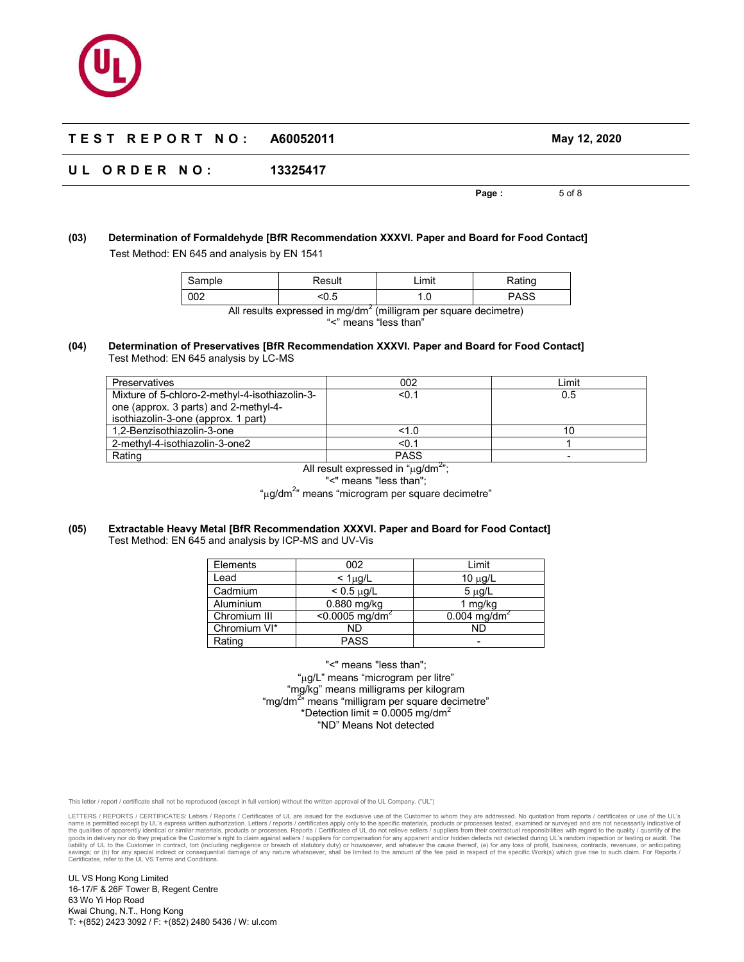# **U L O R D E R N O : 13325417**

**Page :** 5 of 8

# **(03) Determination of Formaldehyde [BfR Recommendation XXXVI. Paper and Board for Food Contact]**  Test Method: EN 645 and analysis by EN 1541

| Sample                                                                       | Result | ∟imit | Rating      |
|------------------------------------------------------------------------------|--------|-------|-------------|
| 002                                                                          | < 0.5  |       | <b>PASS</b> |
| All results expressed in mg/dm <sup>2</sup> (milligram per square decimetre) |        |       |             |

"<" means "less than"

#### **(04) Determination of Preservatives [BfR Recommendation XXXVI. Paper and Board for Food Contact]**  Test Method: EN 645 analysis by LC-MS

| Preservatives                                  | 002         | ∟imit |
|------------------------------------------------|-------------|-------|
| Mixture of 5-chloro-2-methyl-4-isothiazolin-3- | < 0.1       | 0.5   |
| one (approx. 3 parts) and 2-methyl-4-          |             |       |
| isothiazolin-3-one (approx. 1 part)            |             |       |
| 1.2-Benzisothiazolin-3-one                     | 1.0         | 10    |
| 2-methyl-4-isothiazolin-3-one2                 | < 0.1       |       |
| Rating                                         | <b>PASS</b> |       |

All result expressed in " $\mu$ g/dm $^{2}$ "; "<" means "less than";

"µg/dm<sup>2</sup>" means "microgram per square decimetre"

#### **(05) Extractable Heavy Metal [BfR Recommendation XXXVI. Paper and Board for Food Contact]**  Test Method: EN 645 and analysis by ICP-MS and UV-Vis

| Elements     | 002                        | Limit                      |
|--------------|----------------------------|----------------------------|
| Lead         | $<$ 1 $\mu$ g/L            | 10 $\mu$ g/L               |
| Cadmium      | $< 0.5 \mu g/L$            | $5 \mu g/L$                |
| Aluminium    | 0.880 mg/kg                | 1 mg/kg                    |
| Chromium III | <0.0005 mg/dm <sup>2</sup> | $0.004$ mg/dm <sup>2</sup> |
| Chromium VI* | ND                         | ND                         |
| Rating       | <b>PASS</b>                |                            |

"<" means "less than"; "µg/L" means "microgram per litre" "mg/kg" means milligrams per kilogram "mg/dm<sup>2"</sup> means "milligram per square decimetre" \*Detection limit =  $0.0005$  mg/dm<sup>2</sup> "ND" Means Not detected

This letter / report / certificate shall not be reproduced (except in full version) without the written approval of the UL Company. ("UL")

LETTERS / REPORTS / CERTIFICATES: Letters / Reports / Certificates of UL are issued for the exclusive use of the Customer to whom they are addressed. No quotator from reports / entificates or use of the UL's express writte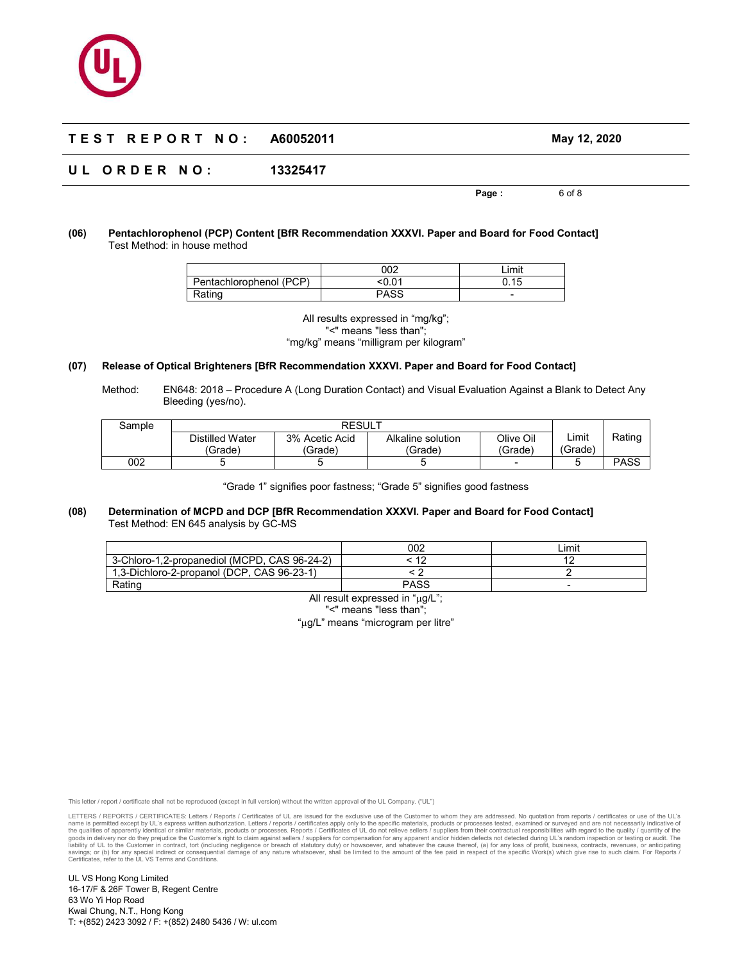# **U L O R D E R N O : 13325417**

**Page :** 6 of 8

#### **(06) Pentachlorophenol (PCP) Content [BfR Recommendation XXXVI. Paper and Board for Food Contact]**  Test Method: in house method

|                         | 002   | Limit               |
|-------------------------|-------|---------------------|
| Pentachlorophenol (PCP) | 0.01> | n 15<br><b>U.IU</b> |
| Rating                  | PASS  | -                   |

All results expressed in "mg/kg"; "<" means "less than"; "mg/kg" means "milligram per kilogram"

#### **(07) Release of Optical Brighteners [BfR Recommendation XXXVI. Paper and Board for Food Contact]**

Method: EN648: 2018 – Procedure A (Long Duration Contact) and Visual Evaluation Against a Blank to Detect Any Bleeding (yes/no).

| Sample | <b>RESULT</b>              |                           |                              |                      |                  |             |
|--------|----------------------------|---------------------------|------------------------------|----------------------|------------------|-------------|
|        | Distilled Water<br>(Grade) | 3% Acetic Acid<br>(Grade) | Alkaline solution<br>'Grade) | Olive Oil<br>(Grade) | _imit<br>(Grade) | Rating      |
| 002    |                            |                           |                              | -                    |                  | <b>PASS</b> |

"Grade 1" signifies poor fastness; "Grade 5" signifies good fastness

#### **(08) Determination of MCPD and DCP [BfR Recommendation XXXVI. Paper and Board for Food Contact]**  Test Method: EN 645 analysis by GC-MS

|                                              | 002    | _imit |
|----------------------------------------------|--------|-------|
| 3-Chloro-1,2-propanediol (MCPD, CAS 96-24-2) | $\sim$ |       |
| 1.3-Dichloro-2-propanol (DCP, CAS 96-23-1)   |        |       |
| Ratinq                                       | PASS   |       |

All result expressed in "µg/L"; "<" means "less than";

"µg/L" means "microgram per litre"

This letter / report / certificate shall not be reproduced (except in full version) without the written approval of the UL Company. ("UL")

LETTERS / REPORTS / CERTIFICATES: Letters / Reports / Certificates of UL are issued for the exclusive use of the Customer to whom they are addressed. No quotator from reports / entificates or use of the UL's express writte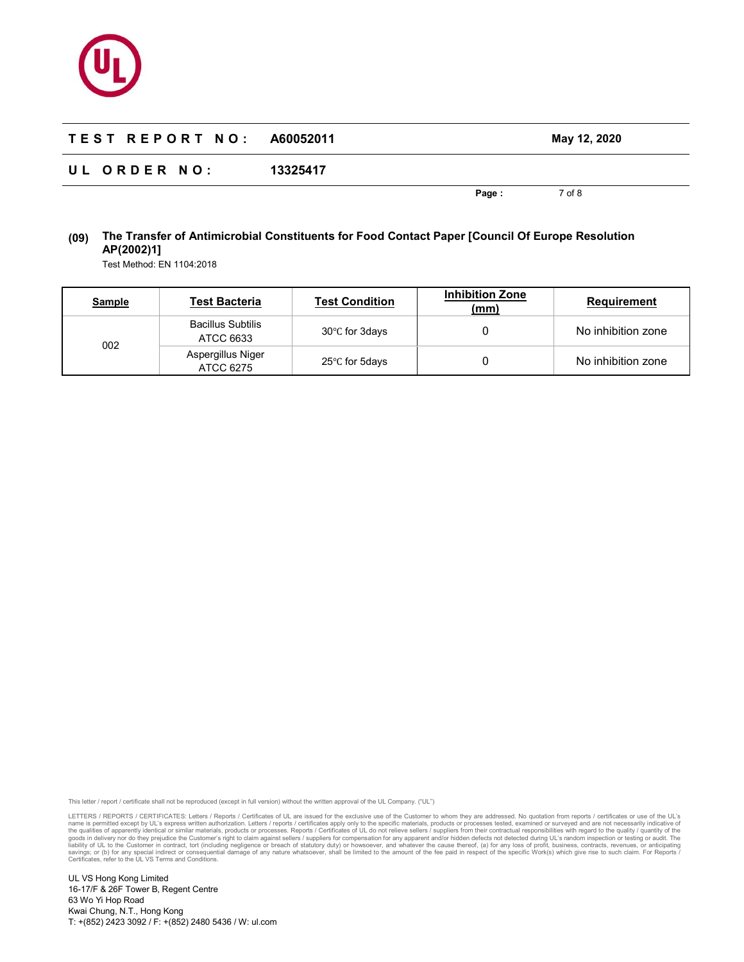

| TEST REPORT NO: A60052011 |          |       | May 12, 2020 |  |
|---------------------------|----------|-------|--------------|--|
| UL ORDER NO:              | 13325417 |       |              |  |
|                           |          | Page: | 7 of 8       |  |

# **(09) The Transfer of Antimicrobial Constituents for Food Contact Paper [Council Of Europe Resolution AP(2002)1]**

Test Method: EN 1104:2018

| <b>Sample</b> | Test Bacteria                         | <b>Test Condition</b> | <b>Inhibition Zone</b><br>(mm) | Requirement        |
|---------------|---------------------------------------|-----------------------|--------------------------------|--------------------|
| 002           | <b>Bacillus Subtilis</b><br>ATCC 6633 | 30°C for 3days        |                                | No inhibition zone |
|               | Aspergillus Niger<br>ATCC 6275        | 25°C for 5days        |                                | No inhibition zone |

This letter / report / certificate shall not be reproduced (except in full version) without the written approval of the UL Company. ("UL")

LETTERS / REPORTS / CERTIFICATES: Letters / Reports / Certificates of UL are issued for the exclusive use of the Customer to whom they are addressed. No quotation from reports / certificates or use of the UL's name is permitted except by UL's express written authorization. Letters / reports / certificates apply only to the specific materials, products or processes tested, examined or surveyed and are not necessarily indicative o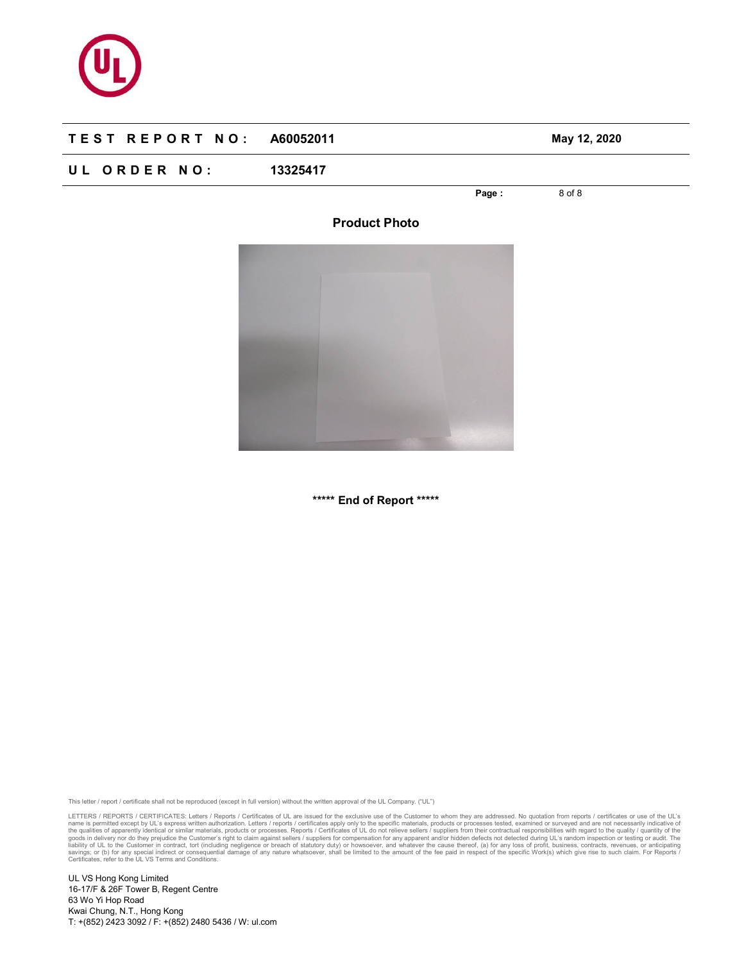

# **U L O R D E R N O : 13325417**

**Page :** 8 of 8

**Product Photo** 

**\*\*\*\*\* End of Report \*\*\*\*\*** 

This letter / report / certificate shall not be reproduced (except in full version) without the written approval of the UL Company. ("UL")

LETTERS / REPORTS / CERTIFICATES: Letters / Reports / Certificates of UL are issued for the exclusive use of the Customer to whom they are addressed. No quotation from reports / certificates or use of the UL's name is permitted except by UL's express written authorization. Letters / reports / certificates apply only to the specific materials, products or processes tested, examined or surveyed and are not necessarily indicative o